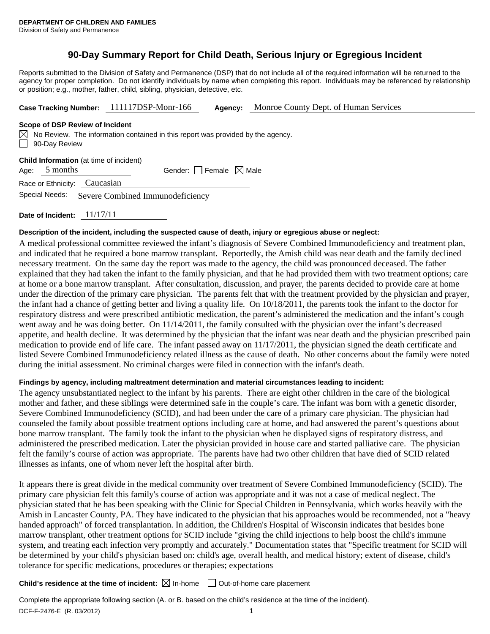## **90-Day Summary Report for Child Death, Serious Injury or Egregious Incident**

Reports submitted to the Division of Safety and Permanence (DSP) that do not include all of the required information will be returned to the agency for proper completion. Do not identify individuals by name when completing this report. Individuals may be referenced by relationship or position; e.g., mother, father, child, sibling, physician, detective, etc.

| Case Tracking Number: 111117DSP-Monr-166 | Agency: | Monroe County Dept. of Human Services |
|------------------------------------------|---------|---------------------------------------|
|------------------------------------------|---------|---------------------------------------|

#### **Scope of DSP Review of Incident**

 $\boxtimes$  No Review. The information contained in this report was provided by the agency. 90-Day Review

|  |  |  | <b>Child Information</b> (at time of incident) |
|--|--|--|------------------------------------------------|
|  |  |  |                                                |

Age:  $5$  months Gender: Female  $\boxtimes$  Male

Race or Ethnicity: Caucasian

Special Needs: Severe Combined Immunodeficiency

**Date of Incident:** 11/17/11

## **Description of the incident, including the suspected cause of death, injury or egregious abuse or neglect:**

A medical professional committee reviewed the infant's diagnosis of Severe Combined Immunodeficiency and treatment plan, and indicated that he required a bone marrow transplant. Reportedly, the Amish child was near death and the family declined necessary treatment. On the same day the report was made to the agency, the child was pronounced deceased. The father explained that they had taken the infant to the family physician, and that he had provided them with two treatment options; care at home or a bone marrow transplant. After consultation, discussion, and prayer, the parents decided to provide care at home under the direction of the primary care physician. The parents felt that with the treatment provided by the physician and prayer, the infant had a chance of getting better and living a quality life. On 10/18/2011, the parents took the infant to the doctor for respiratory distress and were prescribed antibiotic medication, the parent's administered the medication and the infant's cough went away and he was doing better. On  $11/14/2011$ , the family consulted with the physician over the infant's decreased appetite, and health decline. It was determined by the physician that the infant was near death and the physician prescribed pain medication to provide end of life care. The infant passed away on 11/17/2011, the physician signed the death certificate and listed Severe Combined Immunodeficiency related illness as the cause of death. No other concerns about the family were noted during the initial assessment. No criminal charges were filed in connection with the infant's death.

## **Findings by agency, including maltreatment determination and material circumstances leading to incident:**

The agency unsubstantiated neglect to the infant by his parents. There are eight other children in the care of the biological mother and father, and these siblings were determined safe in the couple's care. The infant was born with a genetic disorder, Severe Combined Immunodeficiency (SCID), and had been under the care of a primary care physician. The physician had counseled the family about possible treatment options including care at home, and had answered the parent's questions about bone marrow transplant. The family took the infant to the physician when he displayed signs of respiratory distress, and administered the prescribed medication. Later the physician provided in house care and started palliative care. The physician felt the family's course of action was appropriate. The parents have had two other children that have died of SCID related illnesses as infants, one of whom never left the hospital after birth.

It appears there is great divide in the medical community over treatment of Severe Combined Immunodeficiency (SCID). The primary care physician felt this family's course of action was appropriate and it was not a case of medical neglect. The physician stated that he has been speaking with the Clinic for Special Children in Pennsylvania, which works heavily with the Amish in Lancaster County, PA. They have indicated to the physician that his approaches would be recommended, not a "heavy handed approach" of forced transplantation. In addition, the Children's Hospital of Wisconsin indicates that besides bone marrow transplant, other treatment options for SCID include "giving the child injections to help boost the child's immune system, and treating each infection very promptly and accurately." Documentation states that "Specific treatment for SCID will be determined by your child's physician based on: child's age, overall health, and medical history; extent of disease, child's tolerance for specific medications, procedures or therapies; expectations

## **Child's residence at the time of incident:**  $\boxtimes$  In-home  $\Box$  Out-of-home care placement

DCF-F-2476-E (R. 03/2012) 1 Complete the appropriate following section (A. or B. based on the child's residence at the time of the incident).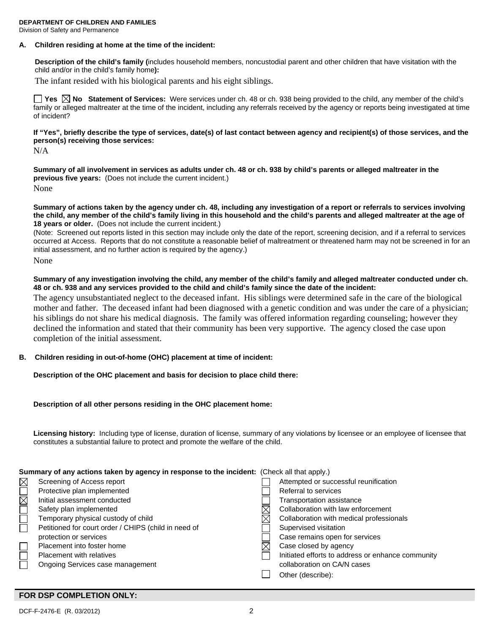# **DEPARTMENT OF CHILDREN AND FAMILIES**

Division of Safety and Permanence

## **A. Children residing at home at the time of the incident:**

**Description of the child's family (**includes household members, noncustodial parent and other children that have visitation with the child and/or in the child's family home**):** 

The infant resided with his biological parents and his eight siblings.

**Yes No Statement of Services:** Were services under ch. 48 or ch. 938 being provided to the child, any member of the child's family or alleged maltreater at the time of the incident, including any referrals received by the agency or reports being investigated at time of incident?

**If "Yes", briefly describe the type of services, date(s) of last contact between agency and recipient(s) of those services, and the person(s) receiving those services:** 

N/A

**Summary of all involvement in services as adults under ch. 48 or ch. 938 by child's parents or alleged maltreater in the previous five years:** (Does not include the current incident.) None

**Summary of actions taken by the agency under ch. 48, including any investigation of a report or referrals to services involving the child, any member of the child's family living in this household and the child's parents and alleged maltreater at the age of 18 years or older.** (Does not include the current incident.)

(Note: Screened out reports listed in this section may include only the date of the report, screening decision, and if a referral to services occurred at Access. Reports that do not constitute a reasonable belief of maltreatment or threatened harm may not be screened in for an initial assessment, and no further action is required by the agency.)

None

**Summary of any investigation involving the child, any member of the child's family and alleged maltreater conducted under ch. 48 or ch. 938 and any services provided to the child and child's family since the date of the incident:** 

The agency unsubstantiated neglect to the deceased infant. His siblings were determined safe in the care of the biological mother and father. The deceased infant had been diagnosed with a genetic condition and was under the care of a physician; his siblings do not share his medical diagnosis. The family was offered information regarding counseling; however they declined the information and stated that their community has been very supportive. The agency closed the case upon completion of the initial assessment.

## **B. Children residing in out-of-home (OHC) placement at time of incident:**

**Description of the OHC placement and basis for decision to place child there:** 

## **Description of all other persons residing in the OHC placement home:**

**Licensing history:** Including type of license, duration of license, summary of any violations by licensee or an employee of licensee that constitutes a substantial failure to protect and promote the welfare of the child.

## **Summary of any actions taken by agency in response to the incident:** (Check all that apply.)

| $\times$    | Screening of Access report                           | Attempted or successful reunification             |
|-------------|------------------------------------------------------|---------------------------------------------------|
|             | Protective plan implemented                          | Referral to services                              |
| $\boxtimes$ | Initial assessment conducted                         | Transportation assistance                         |
|             | Safety plan implemented                              | Collaboration with law enforcement                |
|             | Temporary physical custody of child                  | Collaboration with medical professionals          |
|             | Petitioned for court order / CHIPS (child in need of | Supervised visitation                             |
|             | protection or services                               | Case remains open for services                    |
|             | Placement into foster home                           | Case closed by agency                             |
|             | <b>Placement with relatives</b>                      | Initiated efforts to address or enhance community |
|             | Ongoing Services case management                     | collaboration on CA/N cases                       |
|             |                                                      | Other (describe):                                 |
|             |                                                      |                                                   |

## **FOR DSP COMPLETION ONLY:**